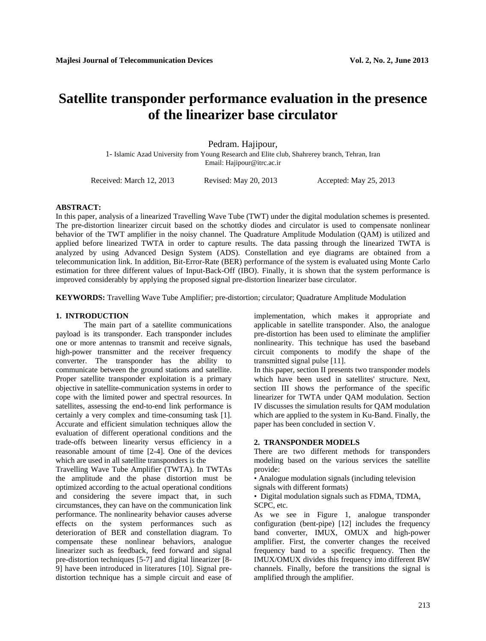# **Satellite transponder performance evaluation in the presence of the linearizer base circulator**

## Pedram. Hajipour,

1- Islamic Azad University from Young Research and Elite club, Shahrerey branch, Tehran, Iran Email: Hajipour@itrc.ac.ir

Received: March 12, 2013 Revised: May 20, 2013 Accepted: May 25, 2013

### **ABSTRACT:**

In this paper, analysis of a linearized Travelling Wave Tube (TWT) under the digital modulation schemes is presented. The pre-distortion linearizer circuit based on the schottky diodes and circulator is used to compensate nonlinear behavior of the TWT amplifier in the noisy channel. The Quadrature Amplitude Modulation (QAM) is utilized and applied before linearized TWTA in order to capture results. The data passing through the linearized TWTA is analyzed by using Advanced Design System (ADS). Constellation and eye diagrams are obtained from a telecommunication link. In addition, Bit-Error-Rate (BER) performance of the system is evaluated using Monte Carlo estimation for three different values of Input-Back-Off (IBO). Finally, it is shown that the system performance is improved considerably by applying the proposed signal pre-distortion linearizer base circulator.

**KEYWORDS:** Travelling Wave Tube Amplifier; pre-distortion; circulator; Quadrature Amplitude Modulation

### **1. INTRODUCTION**

The main part of a satellite communications payload is its transponder. Each transponder includes one or more antennas to transmit and receive signals, high-power transmitter and the receiver frequency converter. The transponder has the ability to communicate between the ground stations and satellite. Proper satellite transponder exploitation is a primary objective in satellite-communication systems in order to cope with the limited power and spectral resources. In satellites, assessing the end-to-end link performance is certainly a very complex and time-consuming task [1]. Accurate and efficient simulation techniques allow the evaluation of different operational conditions and the trade-offs between linearity versus efficiency in a reasonable amount of time [2-4]. One of the devices which are used in all satellite transponders is the

Travelling Wave Tube Amplifier (TWTA). In TWTAs the amplitude and the phase distortion must be optimized according to the actual operational conditions and considering the severe impact that, in such circumstances, they can have on the communication link performance. The nonlinearity behavior causes adverse effects on the system performances such as deterioration of BER and constellation diagram. To compensate these nonlinear behaviors, analogue linearizer such as feedback, feed forward and signal pre-distortion techniques [5-7] and digital linearizer [8- 9] have been introduced in literatures [10]. Signal predistortion technique has a simple circuit and ease of implementation, which makes it appropriate and applicable in satellite transponder. Also, the analogue pre-distortion has been used to eliminate the amplifier nonlinearity. This technique has used the baseband circuit components to modify the shape of the transmitted signal pulse [11].

In this paper, section II presents two transponder models which have been used in satellites' structure. Next, section III shows the performance of the specific linearizer for TWTA under QAM modulation. Section IV discusses the simulation results for QAM modulation which are applied to the system in Ku-Band. Finally, the paper has been concluded in section V.

#### **2. TRANSPONDER MODELS**

There are two different methods for transponders modeling based on the various services the satellite provide:

• Analogue modulation signals (including television

signals with different formats)

• Digital modulation signals such as FDMA, TDMA, SCPC, etc.

As we see in Figure 1, analogue transponder configuration (bent-pipe) [12] includes the frequency band converter, IMUX, OMUX and high-power amplifier. First, the converter changes the received frequency band to a specific frequency. Then the IMUX/OMUX divides this frequency into different BW channels. Finally, before the transitions the signal is amplified through the amplifier.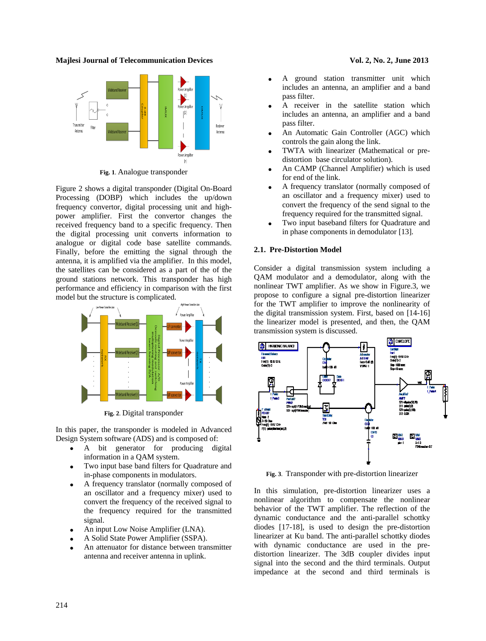

**Fig. 1**. Analogue transponder

Figure 2 shows a digital transponder (Digital On-Board Processing (DOBP) which includes the up/down frequency convertor, digital processing unit and highpower amplifier. First the convertor changes the received frequency band to a specific frequency. Then the digital processing unit converts information to analogue or digital code base satellite commands. Finally, before the emitting the signal through the antenna, it is amplified via the amplifier. In this model, the satellites can be considered as a part of the of the ground stations network. This transponder has high performance and efficiency in comparison with the first model but the structure is complicated.



**Fig. 2**. Digital transponder

In this paper, the transponder is modeled in Advanced Design System software (ADS) and is composed of:

- A bit generator for producing digital information in a QAM system.
- Two input base band filters for Quadrature and in-phase components in modulators.
- A frequency translator (normally composed of an [oscillator](http://en.wikipedia.org/wiki/Oscillator) and a [frequency mixer\)](http://en.wikipedia.org/wiki/Frequency_mixer) used to convert the frequency of the received signal to the frequency required for the transmitted signal.
- An input [Low Noise Amplifier](http://en.wikipedia.org/wiki/Low-noise_amplifier) (LNA).
- A Solid State Power Amplifier (SSPA).
- An attenuator for distance between transmitter antenna and receiver antenna in uplink.
- A ground station transmitter unit which includes an antenna, an amplifier and a band pass filter.
- A receiver in the satellite station which includes an antenna, an amplifier and a band pass filter.
- An Automatic Gain Controller (AGC) which controls the gain along the link.
- TWTA with linearizer (Mathematical or predistortion base circulator solution).
- An CAMP (Channel Amplifier) which is used for end of the link.
- A frequency translator (normally composed of an [oscillator](http://en.wikipedia.org/wiki/Oscillator) and a [frequency mixer\)](http://en.wikipedia.org/wiki/Frequency_mixer) used to convert the frequency of the send signal to the frequency required for the transmitted signal.
- Two input baseband filters for Quadrature and in phase components in demodulator [13].

#### **2.1. Pre-Distortion Model**

Consider a digital transmission system including a QAM modulator and a demodulator, along with the nonlinear TWT amplifier. As we show in Figure.3, we propose to configure a signal pre-distortion linearizer for the TWT amplifier to improve the nonlinearity of the digital transmission system. First, based on [14-16] the linearizer model is presented, and then, the QAM transmission system is discussed.



**Fig. 3**. Transponder with pre-distortion linearizer

In this simulation, pre-distortion linearizer uses a nonlinear algorithm to compensate the nonlinear behavior of the TWT amplifier. The reflection of the dynamic conductance and the anti-parallel schottky diodes [17-18], is used to design the pre-distortion linearizer at Ku band. The anti-parallel schottky diodes with dynamic conductance are used in the predistortion linearizer. The 3dB coupler divides input signal into the second and the third terminals. Output impedance at the second and third terminals is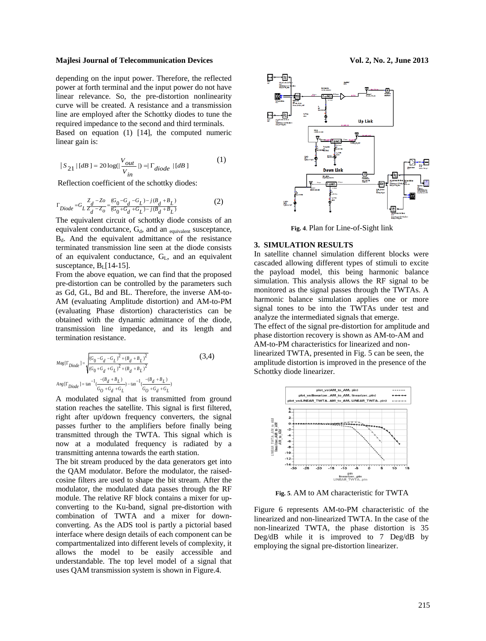depending on the input power. Therefore, the reflected power at forth terminal and the input power do not have linear relevance. So, the pre-distortion nonlinearity curve will be created. A resistance and a transmission line are employed after the Schottky diodes to tune the required impedance to the second and third terminals. Based on equation (1) [14], the computed numeric linear gain is:

$$
|S_{21}|[dB] = 20 \log(|\frac{V_{out}}{V_{in}}|) = |\Gamma_{diode}|[dB]
$$
 (1)

Reflection coefficient of the schottky diodes:

$$
\Gamma_{Diode} = G_L \frac{Z_d - Z_o}{Z_d - Z_o} = \frac{(G_0 - G_d - G_L) - j(B_d + B_L)}{(G_0 + G_d + G_L) - j(B_d + B_L)}
$$
(2)

The equivalent circuit of schottky diode consists of an equivalent conductance,  $G_d$ , and an  $_{equivalent}$  susceptance,  $B_d$ . And the equivalent admittance of the resistance terminated transmission line seen at the diode consists of an equivalent conductance,  $G_L$ , and an equivalent susceptance, B<sub>L</sub>[14-15].

From the above equation, we can find that the proposed pre-distortion can be controlled by the parameters such as Gd, GL, Bd and BL. Therefore, the inverse AM-to-AM (evaluating Amplitude distortion) and AM-to-PM (evaluating Phase distortion) characteristics can be obtained with the dynamic admittance of the diode, transmission line impedance, and its length and termination resistance.

$$
Mag[\Gamma_{Diode}] = \sqrt{\frac{(G_0 - G_d - G_L)^2 + (B_d + B_L)^2}{(G_0 + G_d + G_L)^2 + (B_d + B_L)^2}}
$$
(3,4)  

$$
Ang[\Gamma_{Diode}] = \tan^{-1}(\frac{-(B_d + B_L)}{G_0 + G_d + G_L}) - \tan^{-1}(\frac{-(B_d + B_L)}{G_0 + G_d + G_L})
$$

A modulated signal that is transmitted from ground station reaches the satellite. This signal is first filtered, right after up/down frequency converters, the signal passes further to the amplifiers before finally being transmitted through the TWTA. This signal which is now at a modulated frequency is radiated by a transmitting antenna towards the earth station.

The bit stream produced by the data generators get into the QAM modulator. Before the modulator, the raisedcosine filters are used to shape the bit stream. After the modulator, the modulated data passes through the RF module. The relative RF block contains a mixer for upconverting to the Ku-band, signal pre-distortion with combination of TWTA and a mixer for downconverting. As the ADS tool is partly a pictorial based interface where design details of each component can be compartmentalized into different levels of complexity, it allows the model to be easily accessible and understandable. The top level model of a signal that uses QAM transmission system is shown in Figure.4.



**Fig. 4**. Plan for Line-of-Sight link

#### **3. SIMULATION RESULTS**

In satellite channel simulation different blocks were cascaded allowing different types of stimuli to excite the payload model, this being harmonic balance simulation. This analysis allows the RF signal to be monitored as the signal passes through the TWTAs. A harmonic balance simulation applies one or more signal tones to be into the TWTAs under test and analyze the intermediated signals that emerge. The effect of the signal pre-distortion for amplitude and phase distortion recovery is shown as AM-to-AM and AM-to-PM characteristics for linearized and nonlinearized TWTA, presented in Fig. 5 can be seen, the

amplitude distortion is improved in the presence of the Schottky diode linearizer.



**Fig. 5**. AM to AM characteristic for TWTA

Figure 6 represents AM-to-PM characteristic of the linearized and non-linearized TWTA. In the case of the non-linearized TWTA, the phase distortion is 35 Deg/dB while it is improved to 7 Deg/dB by employing the signal pre-distortion linearizer.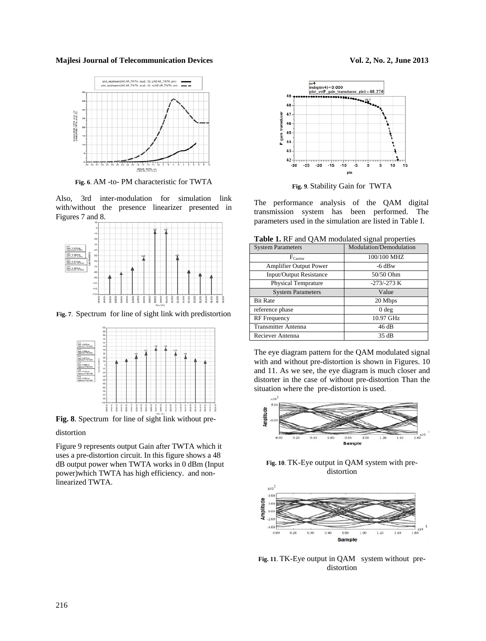

**Fig. 6**. AM -to- PM characteristic for TWTA

Also, 3rd inter-modulation for simulation link with/without the presence linearizer presented in Figures 7 and 8.



**Fig. 7**. Spectrum for line of sight link with predistortion



**Fig. 8**. Spectrum for line of sight link without pre-

#### distortion

Figure 9 represents output Gain after TWTA which it uses a pre-distortion circuit. In this figure shows a 48 dB output power when TWTA works in 0 dBm (Input power)which TWTA has high efficiency. and nonlinearized TWTA.



**Fig. 9**. Stability Gain for TWTA

The performance analysis of the QAM digital transmission system has been performed. The parameters used in the simulation are listed in Table I.

**Table 1.** RF and QAM modulated signal properties

| <b>System Parameters</b>       | Modulation/Demodulation |
|--------------------------------|-------------------------|
| $F_{\text{Carrier}}$           | 100/100 MHZ             |
| <b>Amplifier Output Power</b>  | $-6$ dBw                |
| <b>Input/Output Resistance</b> | 50/50 Ohm               |
| <b>Physical Temprature</b>     | $-273/-273$ K           |
| <b>System Parameters</b>       | Value                   |
| <b>Bit Rate</b>                | 20 Mbps                 |
| reference phase                | 0 <sub>deg</sub>        |
| <b>RF</b> Frequency            | 10.97 GHz               |
| <b>Transmitter Antenna</b>     | 46 dB                   |
| Reciever Antenna               | 35 dB                   |

The eye diagram pattern for the QAM modulated signal with and without pre-distortion is shown in Figures. 10 and 11. As we see, the eye diagram is much closer and distorter in the case of without pre-distortion Than the situation where the pre-distortion is used.



**Fig. 10**. TK-Eye output in QAM system with predistortion



**Fig. 11**. TK-Eye output in QAM system without predistortion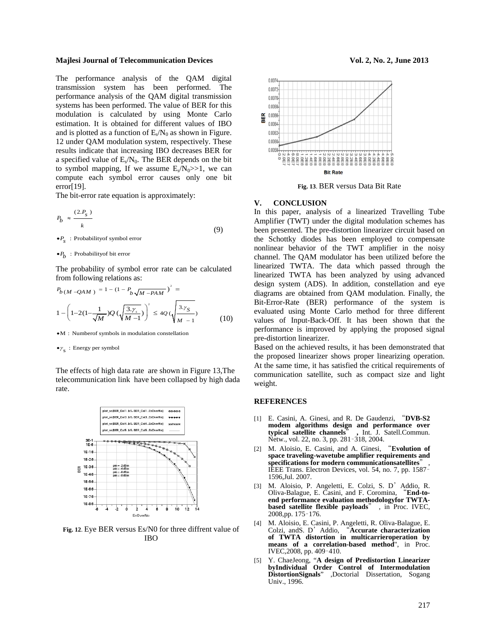The performance analysis of the QAM digital transmission system has been performed. The performance analysis of the QAM digital transmission systems has been performed. The value of BER for this modulation is calculated by using Monte Carlo estimation. It is obtained for different values of IBO and is plotted as a function of  $E_s/N_0$  as shown in Figure. 12 under QAM modulation system, respectively. These results indicate that increasing IBO decreases BER for a specified value of  $E_s/N_0$ . The BER depends on the bit to symbol mapping, If we assume  $E_s/N_0 >> 1$ , we can compute each symbol error causes only one bit error $[19]$ .

The bit-error rate equation is approximately:

$$
P_b \approx \frac{(2.P_s)}{k} \tag{9}
$$

: Probabilityof symbol error *P s* •

: Probabilityof bit error *P b* •

The probability of symbol error rate can be calculated from following relations as:

$$
P_{b(M-QAM)} = 1 - (1 - P_{b\sqrt{M-PAM}})^{2} =
$$
  

$$
1 - \left(1 - 2\left(1 - \frac{1}{\sqrt{M}}\right)Q\left(\sqrt{\frac{3 \cdot \gamma_{s}}{M-1}}\right)\right)^{2} \le 4Q\left(\sqrt{\frac{3 \cdot \gamma_{S}}{M-1}}\right)
$$
(10)

 $\bullet M$  : Numberof symbols in modulation constellation

 $\bullet \gamma_{\text{S}}$ : Energy per symbol

The effects of high data rate are shown in Figure 13,The telecommunication link have been collapsed by high dada rate.



**Fig. 12**. Eye BER versus Es/N0 for three diffrent value of IBO



**Fig. 13**. BER versus Data Bit Rate

#### **V. CONCLUSION**

In this paper, analysis of a linearized Travelling Tube Amplifier (TWT) under the digital modulation schemes has been presented. The pre-distortion linearizer circuit based on the Schottky diodes has been employed to compensate nonlinear behavior of the TWT amplifier in the noisy channel. The QAM modulator has been utilized before the linearized TWTA. The data which passed through the linearized TWTA has been analyzed by using advanced design system (ADS). In addition, constellation and eye diagrams are obtained from QAM modulation. Finally, the Bit-Error-Rate (BER) performance of the system is evaluated using Monte Carlo method for three different values of Input-Back-Off. It has been shown that the performance is improved by applying the proposed signal pre-distortion linearizer.

Based on the achieved results, it has been demonstrated that the proposed linearizer shows proper linearizing operation. At the same time, it has satisfied the critical requirements of communication satellite, such as compact size and light weight.

#### **REFERENCES**

- [1] E. Casini, A. Ginesi, and R. De Gaudenzi, "**DVB-S2 modem algorithms design and performance over typical satellite channels**" **,** Int. J. Satell.Commun. Netw., vol. 22, no. 3, pp. 281–318, 2004.
- [2] M. Aloisio, E. Casini, and A. Ginesi, "**Evolution of space traveling-wavetube amplifier requirements and specifications for modern communicationsatellites**" , IEEE Trans. Electron Devices, vol. 54, no. 7, pp. 1587– 1596,Jul. 2007.
- [3] M. Aloisio, P. Angeletti, E. Colzi, S. D'Addio, R. Oliva-Balague, E. Casini, and F. Coromina, "**End-toend performance evaluation methodologyfor TWTAbased satellite flexible payloads**" , in Proc. IVEC, 2008,pp. 175–176.
- [4] M. Aloisio, E. Casini, P. Angeletti, R. Oliva-Balague, E. Colzi, andS. D'Addio, "**Accurate characterization of TWTA distortion in multicarrieroperation by means of a correlation-based method**", in Proc. IVEC,2008, pp. 409–410.
- [5] Y. ChaeJeong, "**A design of Predistortion Linearizer byIndividual Order Control of Intermodulation DistortionSignals**" ,Doctorial Dissertation, Sogang Univ., 1996.